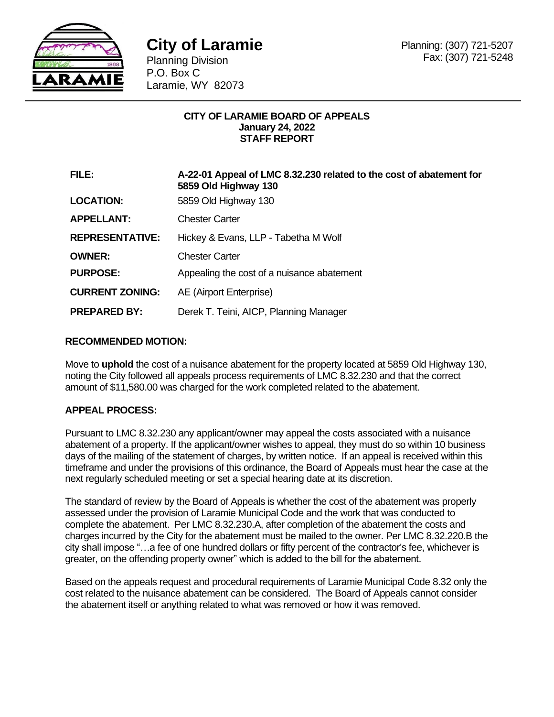

Planning Division P.O. Box C Laramie, WY 82073

# **CITY OF LARAMIE BOARD OF APPEALS January 24, 2022 STAFF REPORT**

| FILE:                  | A-22-01 Appeal of LMC 8.32.230 related to the cost of abatement for<br>5859 Old Highway 130 |
|------------------------|---------------------------------------------------------------------------------------------|
| <b>LOCATION:</b>       | 5859 Old Highway 130                                                                        |
| <b>APPELLANT:</b>      | <b>Chester Carter</b>                                                                       |
| <b>REPRESENTATIVE:</b> | Hickey & Evans, LLP - Tabetha M Wolf                                                        |
| <b>OWNER:</b>          | <b>Chester Carter</b>                                                                       |
| <b>PURPOSE:</b>        | Appealing the cost of a nuisance abatement                                                  |
| <b>CURRENT ZONING:</b> | AE (Airport Enterprise)                                                                     |
| <b>PREPARED BY:</b>    | Derek T. Teini, AICP, Planning Manager                                                      |
|                        |                                                                                             |

# **RECOMMENDED MOTION:**

Move to **uphold** the cost of a nuisance abatement for the property located at 5859 Old Highway 130, noting the City followed all appeals process requirements of LMC 8.32.230 and that the correct amount of \$11,580.00 was charged for the work completed related to the abatement.

# **APPEAL PROCESS:**

Pursuant to LMC 8.32.230 any applicant/owner may appeal the costs associated with a nuisance abatement of a property. If the applicant/owner wishes to appeal, they must do so within 10 business days of the mailing of the statement of charges, by written notice. If an appeal is received within this timeframe and under the provisions of this ordinance, the Board of Appeals must hear the case at the next regularly scheduled meeting or set a special hearing date at its discretion.

The standard of review by the Board of Appeals is whether the cost of the abatement was properly assessed under the provision of Laramie Municipal Code and the work that was conducted to complete the abatement. Per LMC 8.32.230.A, after completion of the abatement the costs and charges incurred by the City for the abatement must be mailed to the owner. Per LMC 8.32.220.B the city shall impose "…a fee of one hundred dollars or fifty percent of the contractor's fee, whichever is greater, on the offending property owner" which is added to the bill for the abatement.

Based on the appeals request and procedural requirements of Laramie Municipal Code 8.32 only the cost related to the nuisance abatement can be considered. The Board of Appeals cannot consider the abatement itself or anything related to what was removed or how it was removed.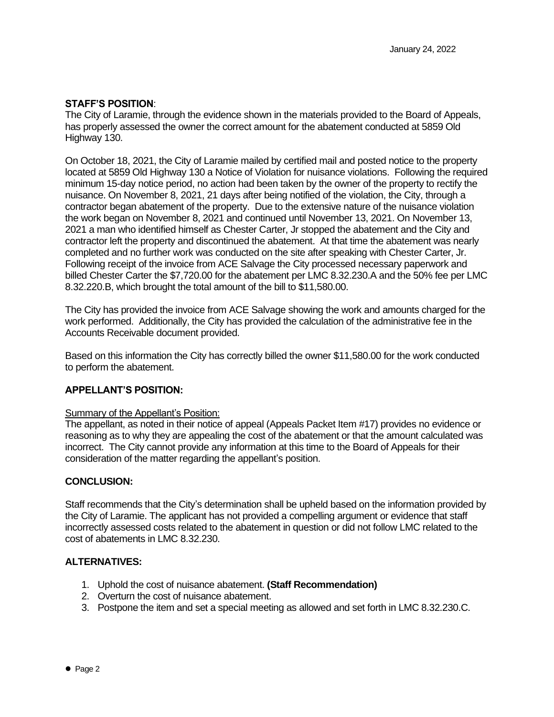### **STAFF'S POSITION**:

The City of Laramie, through the evidence shown in the materials provided to the Board of Appeals, has properly assessed the owner the correct amount for the abatement conducted at 5859 Old Highway 130.

On October 18, 2021, the City of Laramie mailed by certified mail and posted notice to the property located at 5859 Old Highway 130 a Notice of Violation for nuisance violations. Following the required minimum 15-day notice period, no action had been taken by the owner of the property to rectify the nuisance. On November 8, 2021, 21 days after being notified of the violation, the City, through a contractor began abatement of the property. Due to the extensive nature of the nuisance violation the work began on November 8, 2021 and continued until November 13, 2021. On November 13, 2021 a man who identified himself as Chester Carter, Jr stopped the abatement and the City and contractor left the property and discontinued the abatement. At that time the abatement was nearly completed and no further work was conducted on the site after speaking with Chester Carter, Jr. Following receipt of the invoice from ACE Salvage the City processed necessary paperwork and billed Chester Carter the \$7,720.00 for the abatement per LMC 8.32.230.A and the 50% fee per LMC 8.32.220.B, which brought the total amount of the bill to \$11,580.00.

The City has provided the invoice from ACE Salvage showing the work and amounts charged for the work performed. Additionally, the City has provided the calculation of the administrative fee in the Accounts Receivable document provided.

Based on this information the City has correctly billed the owner \$11,580.00 for the work conducted to perform the abatement.

#### **APPELLANT'S POSITION:**

#### Summary of the Appellant's Position:

The appellant, as noted in their notice of appeal (Appeals Packet Item #17) provides no evidence or reasoning as to why they are appealing the cost of the abatement or that the amount calculated was incorrect. The City cannot provide any information at this time to the Board of Appeals for their consideration of the matter regarding the appellant's position.

#### **CONCLUSION:**

Staff recommends that the City's determination shall be upheld based on the information provided by the City of Laramie. The applicant has not provided a compelling argument or evidence that staff incorrectly assessed costs related to the abatement in question or did not follow LMC related to the cost of abatements in LMC 8.32.230.

#### **ALTERNATIVES:**

- 1. Uphold the cost of nuisance abatement. **(Staff Recommendation)**
- 2. Overturn the cost of nuisance abatement.
- 3. Postpone the item and set a special meeting as allowed and set forth in LMC 8.32.230.C.